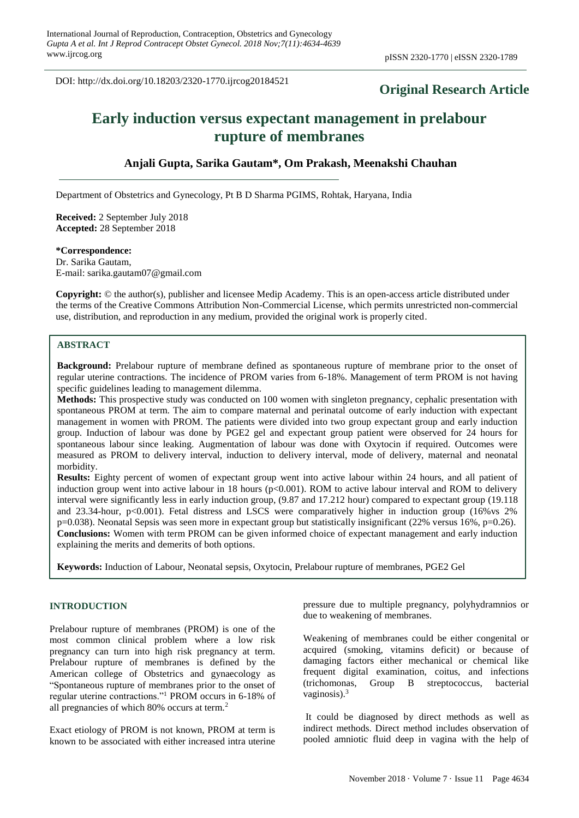DOI: http://dx.doi.org/10.18203/2320-1770.ijrcog20184521

## **Original Research Article**

# **Early induction versus expectant management in prelabour rupture of membranes**

### **Anjali Gupta, Sarika Gautam\*, Om Prakash, Meenakshi Chauhan**

Department of Obstetrics and Gynecology, Pt B D Sharma PGIMS, Rohtak, Haryana, India

**Received:** 2 September July 2018 **Accepted:** 28 September 2018

#### **\*Correspondence:**

Dr. Sarika Gautam, E-mail: sarika.gautam07@gmail.com

**Copyright:** © the author(s), publisher and licensee Medip Academy. This is an open-access article distributed under the terms of the Creative Commons Attribution Non-Commercial License, which permits unrestricted non-commercial use, distribution, and reproduction in any medium, provided the original work is properly cited.

## **ABSTRACT**

**Background:** Prelabour rupture of membrane defined as spontaneous rupture of membrane prior to the onset of regular uterine contractions. The incidence of PROM varies from 6-18%. Management of term PROM is not having specific guidelines leading to management dilemma.

**Methods:** This prospective study was conducted on 100 women with singleton pregnancy, cephalic presentation with spontaneous PROM at term. The aim to compare maternal and perinatal outcome of early induction with expectant management in women with PROM. The patients were divided into two group expectant group and early induction group. Induction of labour was done by PGE2 gel and expectant group patient were observed for 24 hours for spontaneous labour since leaking. Augmentation of labour was done with Oxytocin if required. Outcomes were measured as PROM to delivery interval, induction to delivery interval, mode of delivery, maternal and neonatal morbidity.

**Results:** Eighty percent of women of expectant group went into active labour within 24 hours, and all patient of induction group went into active labour in 18 hours ( $p<0.001$ ). ROM to active labour interval and ROM to delivery interval were significantly less in early induction group, (9.87 and 17.212 hour) compared to expectant group (19.118 and 23.34-hour, p<0.001). Fetal distress and LSCS were comparatively higher in induction group (16%vs 2% p=0.038). Neonatal Sepsis was seen more in expectant group but statistically insignificant (22% versus 16%, p=0.26). **Conclusions:** Women with term PROM can be given informed choice of expectant management and early induction explaining the merits and demerits of both options.

**Keywords:** Induction of Labour, Neonatal sepsis, Oxytocin, Prelabour rupture of membranes, PGE2 Gel

#### **INTRODUCTION**

Prelabour rupture of membranes (PROM) is one of the most common clinical problem where a low risk pregnancy can turn into high risk pregnancy at term. Prelabour rupture of membranes is defined by the American college of Obstetrics and gynaecology as "Spontaneous rupture of membranes prior to the onset of regular uterine contractions."<sup>1</sup> PROM occurs in 6-18% of all pregnancies of which 80% occurs at term.<sup>2</sup>

Exact etiology of PROM is not known, PROM at term is known to be associated with either increased intra uterine pressure due to multiple pregnancy, polyhydramnios or due to weakening of membranes.

Weakening of membranes could be either congenital or acquired (smoking, vitamins deficit) or because of damaging factors either mechanical or chemical like frequent digital examination, coitus, and infections (trichomonas, Group B streptococcus, bacterial vaginosis).<sup>3</sup>

It could be diagnosed by direct methods as well as indirect methods. Direct method includes observation of pooled amniotic fluid deep in vagina with the help of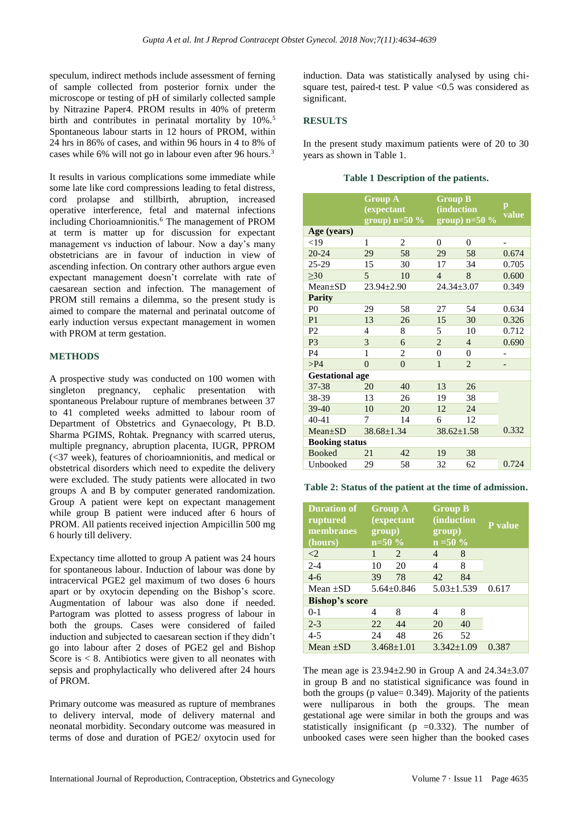speculum, indirect methods include assessment of ferning of sample collected from posterior fornix under the microscope or testing of pH of similarly collected sample by Nitrazine Paper4. PROM results in 40% of preterm birth and contributes in perinatal mortality by 10%.<sup>5</sup> Spontaneous labour starts in 12 hours of PROM, within 24 hrs in 86% of cases, and within 96 hours in 4 to 8% of cases while 6% will not go in labour even after 96 hours.<sup>3</sup>

It results in various complications some immediate while some late like cord compressions leading to fetal distress, cord prolapse and stillbirth, abruption, increased operative interference, fetal and maternal infections including Chorioamnionitis.<sup>6</sup> The management of PROM at term is matter up for discussion for expectant management vs induction of labour. Now a day's many obstetricians are in favour of induction in view of ascending infection. On contrary other authors argue even expectant management doesn't correlate with rate of caesarean section and infection. The management of PROM still remains a dilemma, so the present study is aimed to compare the maternal and perinatal outcome of early induction versus expectant management in women with PROM at term gestation.

#### **METHODS**

A prospective study was conducted on 100 women with singleton pregnancy, cephalic presentation with spontaneous Prelabour rupture of membranes between 37 to 41 completed weeks admitted to labour room of Department of Obstetrics and Gynaecology, Pt B.D. Sharma PGIMS, Rohtak. Pregnancy with scarred uterus, multiple pregnancy, abruption placenta, IUGR, PPROM (<37 week), features of chorioamnionitis, and medical or obstetrical disorders which need to expedite the delivery were excluded. The study patients were allocated in two groups A and B by computer generated randomization. Group A patient were kept on expectant management while group B patient were induced after 6 hours of PROM. All patients received injection Ampicillin 500 mg 6 hourly till delivery.

Expectancy time allotted to group A patient was 24 hours for spontaneous labour. Induction of labour was done by intracervical PGE2 gel maximum of two doses 6 hours apart or by oxytocin depending on the Bishop's score. Augmentation of labour was also done if needed. Partogram was plotted to assess progress of labour in both the groups. Cases were considered of failed induction and subjected to caesarean section if they didn't go into labour after 2 doses of PGE2 gel and Bishop Score is  $< 8$ . Antibiotics were given to all neonates with sepsis and prophylactically who delivered after 24 hours of PROM.

Primary outcome was measured as rupture of membranes to delivery interval, mode of delivery maternal and neonatal morbidity. Secondary outcome was measured in terms of dose and duration of PGE2/ oxytocin used for induction. Data was statistically analysed by using chisquare test, paired-t test. P value <0.5 was considered as significant.

#### **RESULTS**

In the present study maximum patients were of 20 to 30 years as shown in Table 1.

|                        | <b>Group A</b><br><i>(expectant</i><br>group) $n=50 \%$ |          | <b>Group B</b>     | $\mathbf{p}$   |       |  |
|------------------------|---------------------------------------------------------|----------|--------------------|----------------|-------|--|
|                        |                                                         |          | <i>(induction)</i> | value          |       |  |
|                        |                                                         |          | $group)$ n=50 %    |                |       |  |
| Age (years)            |                                                         |          |                    |                |       |  |
| $<$ 19                 | 1                                                       | 2        | $\theta$           | $\theta$       |       |  |
| $20 - 24$              | 29                                                      | 58       | 29                 | 58             | 0.674 |  |
| $25 - 29$              | 15                                                      | 30       | 17                 | 34             | 0.705 |  |
| $\geq 30$              | 5                                                       | 10       | $\overline{4}$     | 8              | 0.600 |  |
| $Mean+SD$              | $23.94 \pm 2.90$                                        |          | $24.34 \pm 3.07$   |                | 0.349 |  |
| <b>Parity</b>          |                                                         |          |                    |                |       |  |
| P <sub>0</sub>         | 29                                                      | 58       | 27                 | 54             | 0.634 |  |
| P <sub>1</sub>         | 13                                                      | 26       | 15                 | 30             | 0.326 |  |
| P <sub>2</sub>         | 4                                                       | 8        | 5                  | 10             | 0.712 |  |
| P <sub>3</sub>         | 3                                                       | 6        | $\overline{2}$     | $\overline{4}$ | 0.690 |  |
| P <sub>4</sub>         | 1                                                       | 2        | $\overline{0}$     | 0              |       |  |
| $>$ P4                 | $\theta$                                                | $\Omega$ | 1                  | $\overline{2}$ |       |  |
| <b>Gestational age</b> |                                                         |          |                    |                |       |  |
| $37 - 38$              | 20                                                      | 40       | 13                 | 26             |       |  |
| 38-39                  | 13                                                      | 26       | 19                 | 38             |       |  |
| 39-40                  | 10                                                      | 20       | 12                 | 24             |       |  |
| $40 - 41$              | 7                                                       | 14       | 6                  | 12             |       |  |
| Mean±SD                | $38.68 \pm 1.34$                                        |          | $38.62 \pm 1.58$   |                | 0.332 |  |
| <b>Booking status</b>  |                                                         |          |                    |                |       |  |
| <b>Booked</b>          | 21                                                      | 42       | 19                 | 38             |       |  |
| Unbooked               | 29                                                      | 58       | 32                 | 62             | 0.724 |  |
|                        |                                                         |          |                    |                |       |  |

**Table 2: Status of the patient at the time of admission.**

| <b>Duration of</b><br>ruptured<br>membranes<br>(hours) | group)<br>$n=50 \%$ | <b>Group A</b><br><i>(expectant</i> ) | <b>Group B</b><br>group)<br>$n = 50 \%$ | <i>(induction)</i> | <b>P</b> value |
|--------------------------------------------------------|---------------------|---------------------------------------|-----------------------------------------|--------------------|----------------|
| $\langle 2 \rangle$                                    | 1                   | 2                                     | 4                                       | 8                  |                |
| $2 - 4$                                                | 10                  | 20                                    | 4                                       | 8                  |                |
| $4 - 6$                                                | 39                  | 78                                    | 42                                      | 84                 |                |
| Mean $\pm$ SD                                          |                     | $5.64 + 0.846$                        |                                         | $5.03 \pm 1.539$   | 0.617          |
| <b>Bishop's score</b>                                  |                     |                                       |                                         |                    |                |
| $0-1$                                                  | 4                   | 8                                     | 4                                       | 8                  |                |
| $2 - 3$                                                | 22                  | 44                                    | 20                                      | 40                 |                |
| $4 - 5$                                                | 24                  | 48                                    | 26                                      | 52                 |                |
| Mean $\pm$ SD                                          |                     | $3.468 \pm 1.01$                      |                                         | $3.342 \pm 1.09$   | 0.387          |

The mean age is  $23.94\pm2.90$  in Group A and  $24.34\pm3.07$ in group B and no statistical significance was found in both the groups (p value=  $0.349$ ). Majority of the patients were nulliparous in both the groups. The mean gestational age were similar in both the groups and was statistically insignificant ( $p = 0.332$ ). The number of unbooked cases were seen higher than the booked cases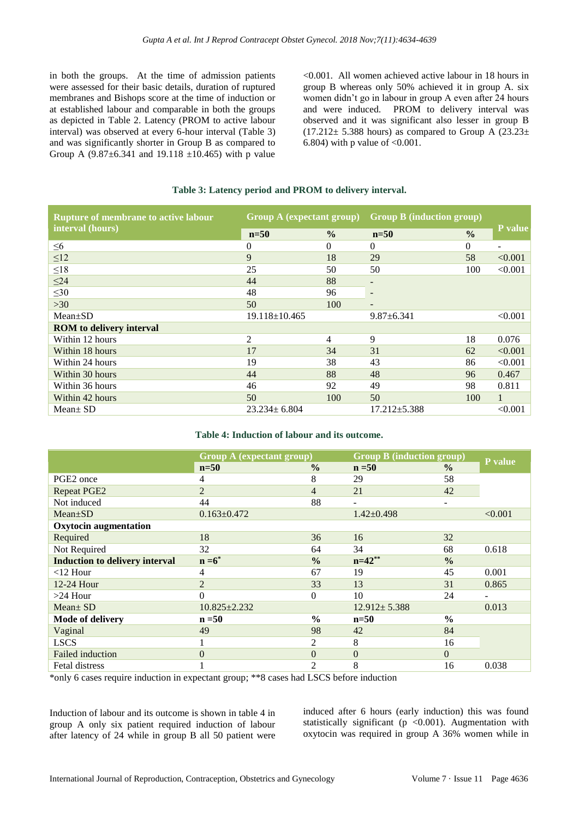in both the groups. At the time of admission patients were assessed for their basic details, duration of ruptured membranes and Bishops score at the time of induction or at established labour and comparable in both the groups as depicted in Table 2. Latency (PROM to active labour interval) was observed at every 6-hour interval (Table 3) and was significantly shorter in Group B as compared to Group A  $(9.87 \pm 6.341$  and 19.118  $\pm 10.465$ ) with p value <0.001. All women achieved active labour in 18 hours in group B whereas only 50% achieved it in group A. six women didn't go in labour in group A even after 24 hours and were induced. PROM to delivery interval was observed and it was significant also lesser in group B  $(17.212 \pm 5.388$  hours) as compared to Group A  $(23.23 \pm 1.5.388)$ 6.804) with p value of  $< 0.001$ .

#### **Table 3: Latency period and PROM to delivery interval.**

| <b>Rupture of membrane to active labour</b> | Group A (expectant group) |               | <b>Group B</b> (induction group) |               |                |
|---------------------------------------------|---------------------------|---------------|----------------------------------|---------------|----------------|
| interval (hours)                            | $n=50$                    | $\frac{0}{0}$ | $n=50$                           | $\frac{0}{0}$ | <b>P</b> value |
| $\leq 6$                                    | 0                         | $\Omega$      | 0                                | 0             |                |
| $\leq 12$                                   | 9                         | 18            | 29                               | 58            | < 0.001        |
| $\leq18$                                    | 25                        | 50            | 50                               | 100           | < 0.001        |
| $\leq$ 24                                   | 44                        | 88            | ٠                                |               |                |
| $\leq 30$                                   | 48                        | 96            | ٠                                |               |                |
| $>30$                                       | 50                        | 100           | $\overline{\phantom{a}}$         |               |                |
| $Mean \pm SD$                               | $19.118 \pm 10.465$       |               | $9.87 \pm 6.341$                 |               | < 0.001        |
| <b>ROM</b> to delivery interval             |                           |               |                                  |               |                |
| Within 12 hours                             | 2                         | 4             | 9                                | 18            | 0.076          |
| Within 18 hours                             | 17                        | 34            | 31                               | 62            | < 0.001        |
| Within 24 hours                             | 19                        | 38            | 43                               | 86            | < 0.001        |
| Within 30 hours                             | 44                        | 88            | 48                               | 96            | 0.467          |
| Within 36 hours                             | 46                        | 92            | 49                               | 98            | 0.811          |
| Within 42 hours                             | 50                        | 100           | 50                               | 100           | $\mathbf{1}$   |
| $Mean \pm SD$                               | $23.234 \pm 6.804$        |               | $17.212 \pm 5.388$               |               | < 0.001        |

#### **Table 4: Induction of labour and its outcome.**

|                                       | <b>Group A (expectant group)</b> |                | <b>Group B (induction group)</b> |               |         |
|---------------------------------------|----------------------------------|----------------|----------------------------------|---------------|---------|
|                                       | $n=50$                           | $\frac{0}{0}$  | $n = 50$                         | $\frac{0}{0}$ | P value |
| PGE2 once                             | 4                                | 8              | 29                               | 58            |         |
| <b>Repeat PGE2</b>                    | $\overline{2}$                   | $\overline{4}$ | 21                               | 42            |         |
| Not induced                           | 44                               | 88             | $\overline{\phantom{0}}$         | ۰             |         |
| $Mean \pm SD$                         | $0.163 \pm 0.472$                |                | $1.42 \pm 0.498$                 |               | < 0.001 |
| <b>Oxytocin augmentation</b>          |                                  |                |                                  |               |         |
| Required                              | 18                               | 36             | 16                               | 32            |         |
| Not Required                          | 32                               | 64             | 34                               | 68            | 0.618   |
| <b>Induction to delivery interval</b> | $n = 6^*$                        | $\frac{0}{0}$  | $n=42**$                         | $\frac{0}{0}$ |         |
| $<$ 12 Hour                           | 4                                | 67             | 19                               | 45            | 0.001   |
| 12-24 Hour                            | $\overline{2}$                   | 33             | 13                               | 31            | 0.865   |
| $>24$ Hour                            | $\theta$                         | $\Omega$       | 10                               | 24            |         |
| $Mean \pm SD$                         | $10.825 \pm 2.232$               |                | $12.912 \pm 5.388$               |               | 0.013   |
| Mode of delivery                      | $n = 50$                         | $\frac{0}{0}$  | $n=50$                           | $\frac{0}{0}$ |         |
| Vaginal                               | 49                               | 98             | 42                               | 84            |         |
| <b>LSCS</b>                           |                                  | 2              | 8                                | 16            |         |
| <b>Failed induction</b>               | $\theta$                         | $\theta$       | $\Omega$                         | $\Omega$      |         |
| Fetal distress                        |                                  | 2              | 8                                | 16            | 0.038   |

\*only 6 cases require induction in expectant group; \*\*8 cases had LSCS before induction

Induction of labour and its outcome is shown in table 4 in group A only six patient required induction of labour after latency of 24 while in group B all 50 patient were

induced after 6 hours (early induction) this was found statistically significant ( $p < 0.001$ ). Augmentation with oxytocin was required in group A 36% women while in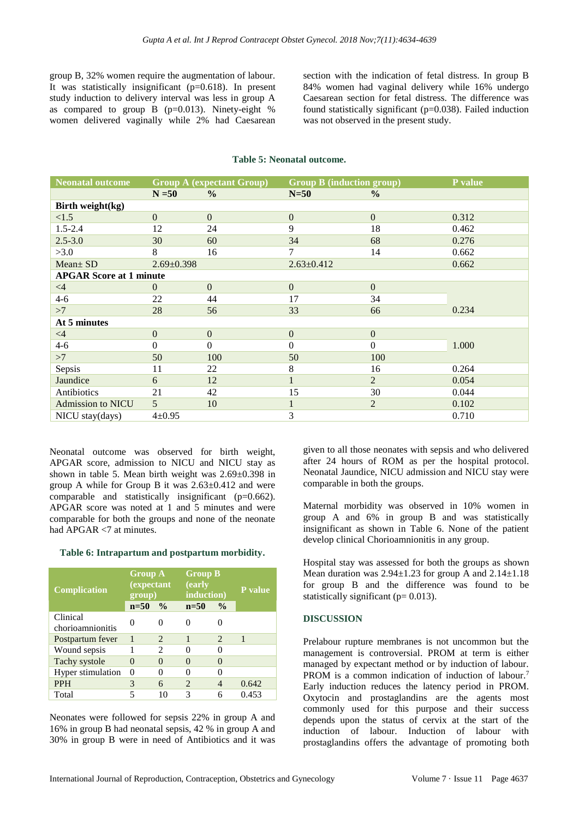group B, 32% women require the augmentation of labour. It was statistically insignificant  $(p=0.618)$ . In present study induction to delivery interval was less in group A as compared to group B  $(p=0.013)$ . Ninety-eight % women delivered vaginally while 2% had Caesarean section with the indication of fetal distress. In group B 84% women had vaginal delivery while 16% undergo Caesarean section for fetal distress. The difference was found statistically significant (p=0.038). Failed induction was not observed in the present study.

| <b>Neonatal outcome</b>        | <b>Group A (expectant Group)</b> |                | <b>Group B</b> (induction group) |                  | P value |
|--------------------------------|----------------------------------|----------------|----------------------------------|------------------|---------|
|                                | $N = 50$                         | $\frac{0}{0}$  | $N=50$                           | $\frac{0}{0}$    |         |
| Birth weight(kg)               |                                  |                |                                  |                  |         |
| <1.5                           | $\mathbf{0}$                     | $\overline{0}$ | $\overline{0}$                   | $\mathbf{0}$     | 0.312   |
| $1.5 - 2.4$                    | 12                               | 24             | 9                                | 18               | 0.462   |
| $2.5 - 3.0$                    | 30                               | 60             | 34                               | 68               | 0.276   |
| >3.0                           | 8                                | 16             | 7                                | 14               | 0.662   |
| $Mean \pm SD$                  | $2.69 \pm 0.398$                 |                | $2.63 \pm 0.412$                 |                  | 0.662   |
| <b>APGAR Score at 1 minute</b> |                                  |                |                                  |                  |         |
| $\leq 4$                       | $\theta$                         | $\overline{0}$ | $\overline{0}$                   | $\mathbf{0}$     |         |
| $4 - 6$                        | 22                               | 44             | 17                               | 34               |         |
| >7                             | 28                               | 56             | 33                               | 66               | 0.234   |
| At 5 minutes                   |                                  |                |                                  |                  |         |
| $\leq 4$                       | $\boldsymbol{0}$                 | $\overline{0}$ | $\mathbf{0}$                     | $\boldsymbol{0}$ |         |
| $4 - 6$                        | $\mathbf{0}$                     | $\Omega$       | $\theta$                         | $\overline{0}$   | 1.000   |
| >7                             | 50                               | 100            | 50                               | 100              |         |
| Sepsis                         | 11                               | 22             | 8                                | 16               | 0.264   |
| Jaundice                       | 6                                | 12             | $\mathbf{1}$                     | $\overline{2}$   | 0.054   |
| Antibiotics                    | 21                               | 42             | 15                               | 30               | 0.044   |
| <b>Admission to NICU</b>       | 5                                | 10             | $\mathbf{1}$                     | $\overline{2}$   | 0.102   |
| NICU stay(days)                | $4 \pm 0.95$                     |                | 3                                |                  | 0.710   |

#### **Table 5: Neonatal outcome.**

Neonatal outcome was observed for birth weight, APGAR score, admission to NICU and NICU stay as shown in table 5. Mean birth weight was  $2.69 \pm 0.398$  in group A while for Group B it was  $2.63 \pm 0.412$  and were comparable and statistically insignificant (p=0.662). APGAR score was noted at 1 and 5 minutes and were comparable for both the groups and none of the neonate had APGAR <7 at minutes.

#### **Table 6: Intrapartum and postpartum morbidity.**

| <b>Complication</b>          | <b>Group A</b><br><i>(expectant</i> )<br>group) |                               | <b>Group B</b><br>(early<br>induction) |                   | <b>P</b> value |  |
|------------------------------|-------------------------------------------------|-------------------------------|----------------------------------------|-------------------|----------------|--|
|                              | $n=50$                                          | $\frac{0}{0}$                 | $n=50$                                 | $\frac{0}{0}$     |                |  |
| Clinical<br>chorioamnionitis | 0                                               | 0                             |                                        | 0                 |                |  |
| Postpartum fever             | $\mathbf{1}$                                    | $\overline{c}$                | 1                                      | $\overline{c}$    | $\mathbf{1}$   |  |
| Wound sepsis                 |                                                 | $\mathfrak{D}_{\mathfrak{p}}$ | $\mathcal{O}$                          | 0                 |                |  |
| Tachy systole                | 0                                               | $\mathbf{\Omega}$             | $\left($                               | $\mathbf{\Omega}$ |                |  |
| Hyper stimulation            | 0                                               | 0                             |                                        | 0                 |                |  |
| <b>PPH</b>                   | 3                                               | 6                             | $\overline{c}$                         | 4                 | 0.642          |  |
| Total                        |                                                 | 10                            | 3                                      | 6                 | 0.453          |  |

Neonates were followed for sepsis 22% in group A and 16% in group B had neonatal sepsis, 42 % in group A and 30% in group B were in need of Antibiotics and it was given to all those neonates with sepsis and who delivered after 24 hours of ROM as per the hospital protocol. Neonatal Jaundice, NICU admission and NICU stay were comparable in both the groups.

Maternal morbidity was observed in 10% women in group A and 6% in group B and was statistically insignificant as shown in Table 6. None of the patient develop clinical Chorioamnionitis in any group.

Hospital stay was assessed for both the groups as shown Mean duration was  $2.94 \pm 1.23$  for group A and  $2.14 \pm 1.18$ for group B and the difference was found to be statistically significant ( $p= 0.013$ ).

#### **DISCUSSION**

Prelabour rupture membranes is not uncommon but the management is controversial. PROM at term is either managed by expectant method or by induction of labour. PROM is a common indication of induction of labour.<sup>7</sup> Early induction reduces the latency period in PROM. Oxytocin and prostaglandins are the agents most commonly used for this purpose and their success depends upon the status of cervix at the start of the induction of labour. Induction of labour with prostaglandins offers the advantage of promoting both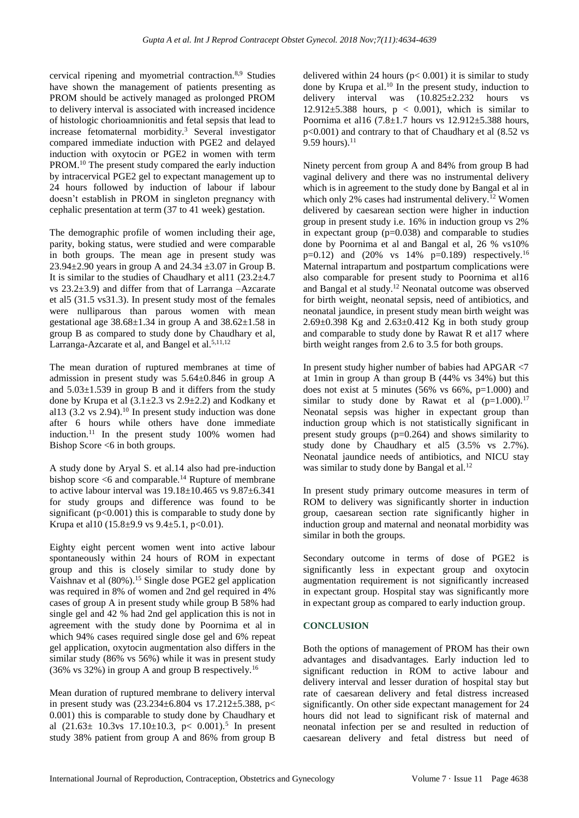cervical ripening and myometrial contraction.8,9 Studies have shown the management of patients presenting as PROM should be actively managed as prolonged PROM to delivery interval is associated with increased incidence of histologic chorioamnionitis and fetal sepsis that lead to increase fetomaternal morbidity.<sup>3</sup> Several investigator compared immediate induction with PGE2 and delayed induction with oxytocin or PGE2 in women with term PROM.<sup>10</sup> The present study compared the early induction by intracervical PGE2 gel to expectant management up to 24 hours followed by induction of labour if labour doesn't establish in PROM in singleton pregnancy with cephalic presentation at term (37 to 41 week) gestation.

The demographic profile of women including their age, parity, boking status, were studied and were comparable in both groups. The mean age in present study was 23.94 $\pm$ 2.90 years in group A and 24.34  $\pm$ 3.07 in Group B. It is similar to the studies of Chaudhary et all  $1 (23.2 \pm 4.7)$ vs 23.2±3.9) and differ from that of Larranga –Azcarate et al5 (31.5 vs31.3). In present study most of the females were nulliparous than parous women with mean gestational age  $38.68\pm1.34$  in group A and  $38.62\pm1.58$  in group B as compared to study done by Chaudhary et al, Larranga-Azcarate et al, and Bangel et al.<sup>5,11,12</sup>

The mean duration of ruptured membranes at time of admission in present study was 5.64±0.846 in group A and  $5.03\pm1.539$  in group B and it differs from the study done by Krupa et al  $(3.1\pm 2.3 \text{ vs } 2.9\pm 2.2)$  and Kodkany et al13  $(3.2 \text{ vs } 2.94)$ .<sup>10</sup> In present study induction was done after 6 hours while others have done immediate induction.<sup>11</sup> In the present study  $100\%$  women had Bishop Score  $\leq 6$  in both groups.

A study done by Aryal S. et al.14 also had pre-induction bishop score  $<$ 6 and comparable.<sup>14</sup> Rupture of membrane to active labour interval was  $19.18 \pm 10.465$  vs  $9.87 \pm 6.341$ for study groups and difference was found to be significant ( $p<0.001$ ) this is comparable to study done by Krupa et al10 (15.8 $\pm$ 9.9 vs 9.4 $\pm$ 5.1, p<0.01).

Eighty eight percent women went into active labour spontaneously within 24 hours of ROM in expectant group and this is closely similar to study done by Vaishnav et al (80%).<sup>15</sup> Single dose PGE2 gel application was required in 8% of women and 2nd gel required in 4% cases of group A in present study while group B 58% had single gel and 42 % had 2nd gel application this is not in agreement with the study done by Poornima et al in which 94% cases required single dose gel and 6% repeat gel application, oxytocin augmentation also differs in the similar study (86% vs 56%) while it was in present study (36% vs 32%) in group A and group B respectively.<sup>16</sup>

Mean duration of ruptured membrane to delivery interval in present study was  $(23.234 \pm 6.804 \text{ vs } 17.212 \pm 5.388, \text{ p}$ 0.001) this is comparable to study done by Chaudhary et al  $(21.63 \pm 10.3 \text{ vs } 17.10 \pm 10.3, \text{ p} < 0.001).$ <sup>5</sup> In present study 38% patient from group A and 86% from group B delivered within 24 hours ( $p < 0.001$ ) it is similar to study done by Krupa et al. <sup>10</sup> In the present study, induction to delivery interval was (10.825±2.232 hours vs 12.912 $\pm$ 5.388 hours, p < 0.001), which is similar to Poornima et al16  $(7.8 \pm 1.7)$  hours vs  $12.912 \pm 5.388$  hours, p<0.001) and contrary to that of Chaudhary et al (8.52 vs 9.59 hours). $^{11}$ 

Ninety percent from group A and 84% from group B had vaginal delivery and there was no instrumental delivery which is in agreement to the study done by Bangal et al in which only 2% cases had instrumental delivery.<sup>12</sup> Women delivered by caesarean section were higher in induction group in present study i.e. 16% in induction group vs 2% in expectant group (p=0.038) and comparable to studies done by Poornima et al and Bangal et al, 26 % vs10%  $p=0.12$ ) and  $(20\%$  vs  $14\%$   $p=0.189)$  respectively.<sup>16</sup> Maternal intrapartum and postpartum complications were also comparable for present study to Poornima et al16 and Bangal et al study.<sup>12</sup> Neonatal outcome was observed for birth weight, neonatal sepsis, need of antibiotics, and neonatal jaundice, in present study mean birth weight was  $2.69\pm0.398$  Kg and  $2.63\pm0.412$  Kg in both study group and comparable to study done by Rawat R et al17 where birth weight ranges from 2.6 to 3.5 for both groups.

In present study higher number of babies had APGAR <7 at 1min in group A than group B (44% vs 34%) but this does not exist at 5 minutes (56% vs 66%,  $p=1.000$ ) and similar to study done by Rawat et al  $(p=1.000).^{17}$ Neonatal sepsis was higher in expectant group than induction group which is not statistically significant in present study groups  $(p=0.264)$  and shows similarity to study done by Chaudhary et al5 (3.5% vs 2.7%). Neonatal jaundice needs of antibiotics, and NICU stay was similar to study done by Bangal et al.<sup>12</sup>

In present study primary outcome measures in term of ROM to delivery was significantly shorter in induction group, caesarean section rate significantly higher in induction group and maternal and neonatal morbidity was similar in both the groups.

Secondary outcome in terms of dose of PGE2 is significantly less in expectant group and oxytocin augmentation requirement is not significantly increased in expectant group. Hospital stay was significantly more in expectant group as compared to early induction group.

#### **CONCLUSION**

Both the options of management of PROM has their own advantages and disadvantages. Early induction led to significant reduction in ROM to active labour and delivery interval and lesser duration of hospital stay but rate of caesarean delivery and fetal distress increased significantly. On other side expectant management for 24 hours did not lead to significant risk of maternal and neonatal infection per se and resulted in reduction of caesarean delivery and fetal distress but need of